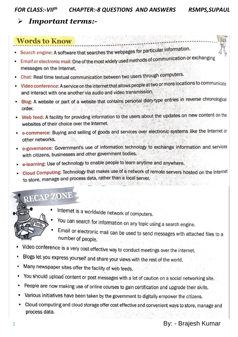#### **Important terms:-** $\blacktriangleright$

## **Words to Know**

- Search engine: A software that searches the webpages for particular information.
- Email or electronic mail: One of the most widely used methods of communication or exchanging messages on the Internet.
- Chat: Real time textual communication between two users through computers.
- Video conference: A service on the internet that allows people at two or more locations to communicate and interact with one another via audio and video transmission.
- Blog: A website or part of a website that contains personal diary-type entries in reverse chronological order.
- . Web feed: A facility for providing information to the users about the updates on new content on the websites of their choice over the Internet.
- e-commerce: Buying and selling of goods and services over electronic systems like the Internet or other networks.
- . e-governance: Government's use of information technology to exchange information and services with citizens, businesses and other government bodies.
- e-learning: Use of technology to enable people to learn anytime and anywhere.
- Cloud Computing: Technology that makes use of a network of remote servers hosted on the Internet to store, manage and process data, rather than a local server.

# RECAP ZONE



- Internet is a worldwide network of computers.
- You can search for information on any topic using a search engine.
- Email or electronic mail can be used to send messages with attached files to a number of people.
- Video conference is a very cost effective way to conduct meetings over the internet.
- Blogs let you express yourself and share your views with the rest of the world.
- Many newspaper sites offer the facility of web feeds.
- You should upload content or post messages with a lot of caution on a social networking site.
- People are now making use of online courses to gain certification and upgrade their skills.
- Various initiatives have been taken by the government to digitally empower the citizens.
- Cloud computing and cloud storage offer cost effective and convenient ways to store, manage and process data.

### By: - Brajesh Kumar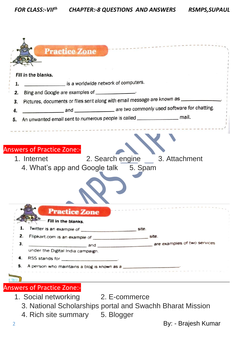|    | Fill in the blanks.                                                                                                         |
|----|-----------------------------------------------------------------------------------------------------------------------------|
| 1. | is a worldwide network of computers.                                                                                        |
| 2. | Bing and Google are examples of _______________.                                                                            |
| 3. | Pictures, documents or files sent along with email message are known as __________                                          |
| 4. | and ____________________________ are two commonly used software for chatting.                                               |
| 5. | An unwanted email sent to numerous people is called _____________________________ mail.                                     |
|    |                                                                                                                             |
|    | <b>Answers of Practice Zone:-</b><br>2. Search engine 3. Attachment<br>1. Internet<br>4. What's app and Google talk 5. Spam |
|    |                                                                                                                             |
|    | <b>Practice Zone</b><br>- Fill in the blanks.                                                                               |
| 1. | Twitter is an example of _____________________________ site.                                                                |
| 2. |                                                                                                                             |
| 3. |                                                                                                                             |
|    | under the Digital India campaign.<br>4. RSS stands for                                                                      |

### Answers of Practice Zone:-

- 1. Social networking 2. E-commerce
	-
	- 3. National Scholarships portal and Swachh Bharat Mission
	- 4. Rich site summary 5. Blogger

2 **By: - Brajesh Kumar**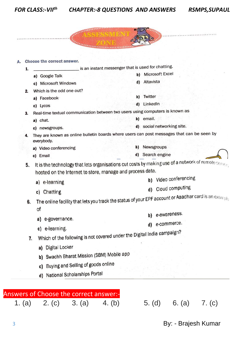*CHAPTER:-8 QUESTIONS AND ANSWERS RSMPS,SUPAUL*

| a) Google Talk<br>c) Microsoft Windows<br>Which is the odd one out? | is an instant messenger that is used for chatting.<br>Microsoft Excel<br>b)<br>Altavista<br>d)                                                                                                                                                                                                                                                                                                                                                                                                                                                                                                         |
|---------------------------------------------------------------------|--------------------------------------------------------------------------------------------------------------------------------------------------------------------------------------------------------------------------------------------------------------------------------------------------------------------------------------------------------------------------------------------------------------------------------------------------------------------------------------------------------------------------------------------------------------------------------------------------------|
|                                                                     |                                                                                                                                                                                                                                                                                                                                                                                                                                                                                                                                                                                                        |
|                                                                     |                                                                                                                                                                                                                                                                                                                                                                                                                                                                                                                                                                                                        |
|                                                                     |                                                                                                                                                                                                                                                                                                                                                                                                                                                                                                                                                                                                        |
|                                                                     |                                                                                                                                                                                                                                                                                                                                                                                                                                                                                                                                                                                                        |
| a) Facebook                                                         | Twitter<br>b)                                                                                                                                                                                                                                                                                                                                                                                                                                                                                                                                                                                          |
| c) Lycos                                                            | d) LinkedIn                                                                                                                                                                                                                                                                                                                                                                                                                                                                                                                                                                                            |
|                                                                     |                                                                                                                                                                                                                                                                                                                                                                                                                                                                                                                                                                                                        |
| a) chat.                                                            | b) email.                                                                                                                                                                                                                                                                                                                                                                                                                                                                                                                                                                                              |
| c) newsgroups.                                                      | d) social networking site.                                                                                                                                                                                                                                                                                                                                                                                                                                                                                                                                                                             |
| everybody.                                                          |                                                                                                                                                                                                                                                                                                                                                                                                                                                                                                                                                                                                        |
| a) Video conferencing                                               | Newsgroups<br>b)                                                                                                                                                                                                                                                                                                                                                                                                                                                                                                                                                                                       |
| c) Email                                                            | d) Search engine                                                                                                                                                                                                                                                                                                                                                                                                                                                                                                                                                                                       |
| e-learning<br>a)                                                    | Video conferencing<br>b)<br>Cloud computing                                                                                                                                                                                                                                                                                                                                                                                                                                                                                                                                                            |
| Chatting<br>C)                                                      | d)                                                                                                                                                                                                                                                                                                                                                                                                                                                                                                                                                                                                     |
| 6.                                                                  |                                                                                                                                                                                                                                                                                                                                                                                                                                                                                                                                                                                                        |
|                                                                     | b) e-awareness.                                                                                                                                                                                                                                                                                                                                                                                                                                                                                                                                                                                        |
|                                                                     | e-commerce.<br>d)                                                                                                                                                                                                                                                                                                                                                                                                                                                                                                                                                                                      |
|                                                                     |                                                                                                                                                                                                                                                                                                                                                                                                                                                                                                                                                                                                        |
| 7.                                                                  |                                                                                                                                                                                                                                                                                                                                                                                                                                                                                                                                                                                                        |
|                                                                     |                                                                                                                                                                                                                                                                                                                                                                                                                                                                                                                                                                                                        |
| Swachh Bharat Mission (SBM) Mobile app<br>b)                        |                                                                                                                                                                                                                                                                                                                                                                                                                                                                                                                                                                                                        |
|                                                                     |                                                                                                                                                                                                                                                                                                                                                                                                                                                                                                                                                                                                        |
| Buying and Selling of goods online<br>C)                            |                                                                                                                                                                                                                                                                                                                                                                                                                                                                                                                                                                                                        |
|                                                                     | Real-time textual communication between two users using computers is known as<br>They are known as online bulletin boards where users can post messages that can be seen by<br>It is the technology that lets organisations cut costs by making use of a network of remote server.<br>hosted on the Internet to store, manage and process data.<br>The online facility that lets you track the status of your EPF account or Aaadhar card is an example<br>of<br>e-governance.<br>a)<br>c) e-learning.<br>Which of the following is not covered under the Digital India campaign?<br>a) Digital Locker |

1. (a) 2. (c) 3. (a) 4. (b) 5. (d) 6. (a) 7. (c)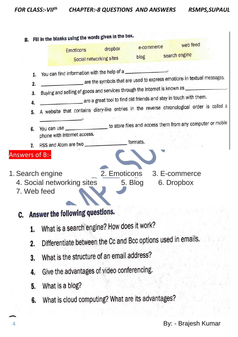*FOR CLASS:-VII th CHAPTER:-8 QUESTIONS AND ANSWERS RSMPS,SUPAUL*